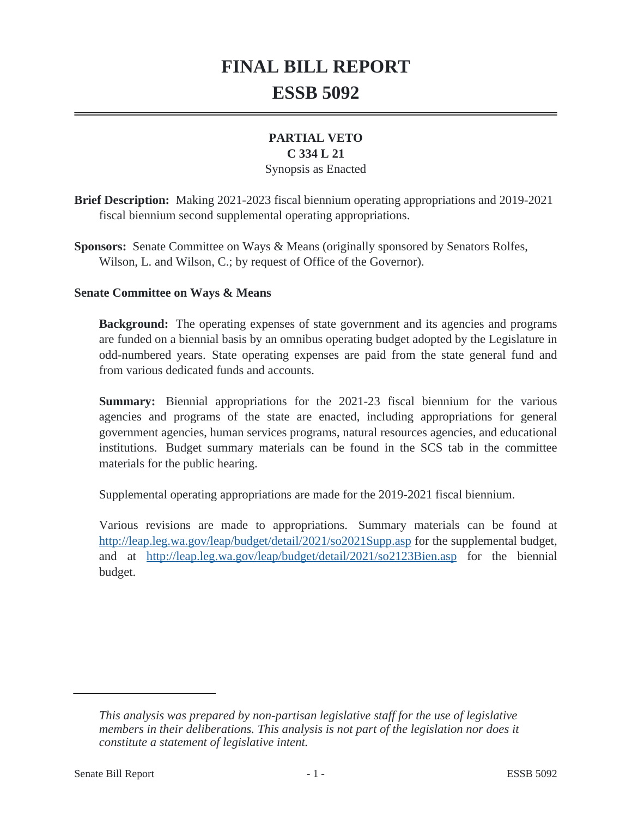# **FINAL BILL REPORT ESSB 5092**

# **PARTIAL VETO**

#### **C 334 L 21**

## Synopsis as Enacted

**Brief Description:** Making 2021-2023 fiscal biennium operating appropriations and 2019-2021 fiscal biennium second supplemental operating appropriations.

**Sponsors:** Senate Committee on Ways & Means (originally sponsored by Senators Rolfes, Wilson, L. and Wilson, C.; by request of Office of the Governor).

#### **Senate Committee on Ways & Means**

**Background:** The operating expenses of state government and its agencies and programs are funded on a biennial basis by an omnibus operating budget adopted by the Legislature in odd-numbered years. State operating expenses are paid from the state general fund and from various dedicated funds and accounts.

**Summary:** Biennial appropriations for the 2021-23 fiscal biennium for the various agencies and programs of the state are enacted, including appropriations for general government agencies, human services programs, natural resources agencies, and educational institutions. Budget summary materials can be found in the SCS tab in the committee materials for the public hearing.

Supplemental operating appropriations are made for the 2019-2021 fiscal biennium.

Various revisions are made to appropriations. Summary materials can be found at <http://leap.leg.wa.gov/leap/budget/detail/2021/so2021Supp.asp>for the supplemental budget, and at <http://leap.leg.wa.gov/leap/budget/detail/2021/so2123Bien.asp>for the biennial budget.

*This analysis was prepared by non-partisan legislative staff for the use of legislative members in their deliberations. This analysis is not part of the legislation nor does it constitute a statement of legislative intent.*